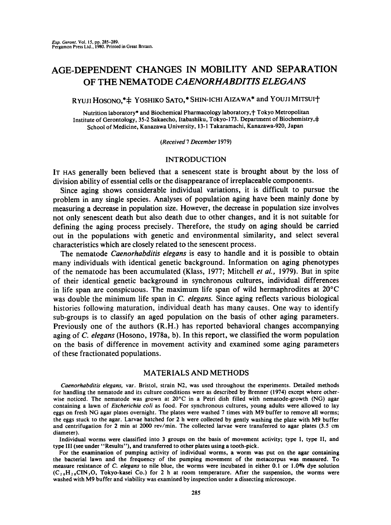# AGE-DEPENDENT CHANGES IN MOBILITY AND SEPARATION OF THE NEMATODE *CAENORHABDITIS ELEGANS*

RYUJI HOSONO,\* $\ddagger$  YOSHIKO SATO,\* SHIN-ICHI AIZAWA\* and YOUJI MITSUI+

Nutrition laboratory\* and Biochemical Pharmacology laboratory, + Tokyo Metropolitan Institute of Gerontology, 35-2 Sakaecho, Itabashiku, Tokyo-173. Department of Biochemistry,  $\pm$ School of Medicine, Kanazawa University, 13-1 Takaramachi, Kanazawa-920, Japan

*(Received 7 December* 1979)

## INTRODUCTION

IT HAS generally been believed that a senescent state is brought about by the loss of division ability of essential cells or the disappearance of irreplaceable components.

Since aging shows considerable individual variations, it is difficult to pursue the problem in any single species. Analyses of population aging have been mainly done by measuring a decrease in population size. However, the decrease in population size involves not only senescent death but also death due to other changes, and it is not suitable for defining the aging process precisely. Therefore, the study on aging should be carried out in the populations with genetic and environmental similarity, and select several characteristics which are closely related to the senescent process.

The nematode *Caenorhabditis elegans* is easy to handle and it is possible to obtain many individuals with identical genetic background. Information on aging phenotypes of the nematode has been accumulated (Klass, 1977; Mitchell *et al.,* 1979). But in spite of their identical genetic background in synchronous cultures, individual differences in life span are conspicuous. The maximum life span of wild hermaphrodites at  $20^{\circ}$ C was double the minimum life span in *C. elegans.* Since aging reflects various biological histories following maturation, individual death has many causes. One way to identify sub-groups is to classify an aged population on the basis of other aging parameters. Previously one of the authors (R.H.) has reported behavioral changes accompanying aging of *C. elegans* (Hosono, 1978a, b). In this report, we classified the worm population on the basis of difference in movement activity and examined some aging parameters of these fractionated populations.

#### MATERIALS AND METHODS

*Caenorhabditis elegans,* var. Bristol, strain N2, was used throughout the experiments. Detailed methods for handling the nematode and its culture conditions were as described by Brenner (1974) except where otherwise noticed. The nematode was grown at 20°C in a Petri dish filled with nematode-growth (NG) agar containing a lawn of *Escherichia coli* as food. For synchronous cultures, young adults were allowed to lay eggs on fresh NG agar plates overnight. The plates were washed 7 times with M9 buffer to remove all worms; the eggs stuck to the agar. Larvae hatched for 2 h were collected by gently washing the plate with M9 buffer and centrifugation for 2 min at 2000 rev/min. The collected larvae were transferred to agar plates (3.5 cm diameter).

Individual worms were classified into 3 groups on the basis of movement activity; type I, type II, and type III (see under "Results"), and transferred to other plates using a tooth-pick.

For the examination of pumping activity of individual worms, a worm was put on the agar containing the bacterial lawn and the frequency of the pumping movement of the metacorpus was measured. To measure resistance of *C. elegans* to nile blue, the worms were incubated in either 0.1 or 1.0% dye solution  $(C_{20}H_{20}CIN_3O, Tokyo-kasei Co.)$  for 2 h at room temperature. After the suspension, the worms were washed with M9 buffer and viability was examined by inspection under a dissecting microscope.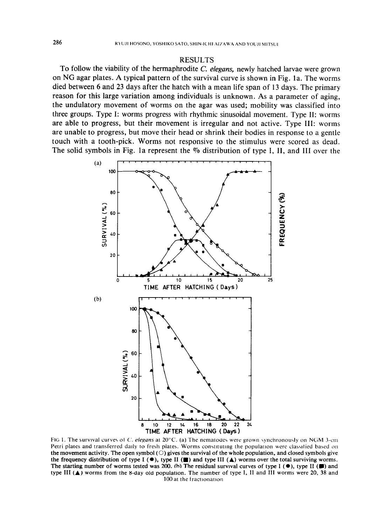## RESULTS

To follow the viability of the hermaphrodite *C. elegans,* newly hatched larvae were grown on NG agar plates. A typical pattern of the survival curve is shown in Fig. la. The worms died between 6 and 23 days after the hatch with a mean life span of 13 days. The primary reason for this large variation among individuals is unknown. As a parameter of aging, the undulatory movement of worms on the agar was used; mobility was classified into three groups. Type I: worms progress with rhythmic sinusoidal movement. Type II: worms are able to progress, but their movement is irregular and not active. Type III: worms are unable to progress, but move their head or shrink their bodies in response to a gentle touch with a tooth-pick. Worms not responsive to the stimulus were scored as dead. The solid symbols in Fig. 1a represent the  $\%$  distribution of type I, II, and III over the



FIG 1. The survival curves ol C'. *elegans* at 20°C. (a) The nematodes were grown synchronouqy on NGM 3-cm Petri plates and transferred daily to fresh plates. Worms constituting the population were classified based on the movement activity. The open symbol  $(\bigcirc)$  gives the survival of the whole population, and closed symbols give the frequency distribution of type I ( $\bullet$ ), type II ( $\bullet$ ) and type III ( $\bullet$ ) worms over the total surviving worms. The starting number of worms tested was 200. (h) The residual survival curves of type I ( $\bullet$ ), type II ( $\bullet$ ) and type III  $(A)$  worms from the 8-day old population. The number of type I, II and III worms were 20, 38 and I00 at the traetlonatlon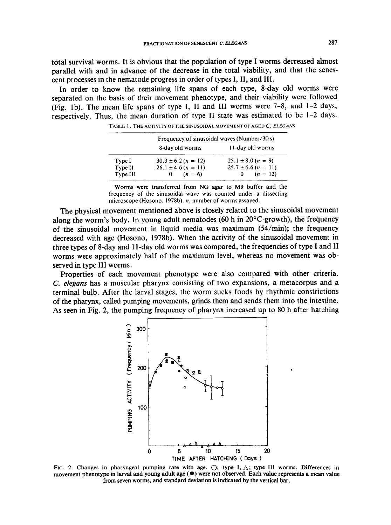total survival worms. It is obvious that the population of type I worms decreased almost parallel with and in advance of the decrease in the total viability, and that the senescent processes in the nematode progress in order of types I, II, and III.

In order to know the remaining life spans of each type, 8-day old worms were separated on the basis of their movement phenotype, and their viability were followed (Fig. lb). The mean life spans of type I, II and III worms were 7-8, and 1-2 days, respectively. Thus, the mean duration of type II state was estimated to be 1-2 days.

|                     | Frequency of sinusoidal waves (Number/30 s) |                                         |
|---------------------|---------------------------------------------|-----------------------------------------|
|                     | 8-day old worms                             | 11-day old worms                        |
| Type I              | $30.3 \pm 6.2 (n = 12)$                     | $25.1 \pm 8.0 (n = 9)$                  |
| Type II<br>Type III | $26.1 \pm 4.6 (n = 11)$<br>0 $(n = 6)$      | $25.7 \pm 6.6 (n = 11)$<br>0 $(n = 12)$ |

TABLE l. THE ACTIVITY OF THE S|NUSOIDAL MOVEMENT OF AGED *C. ELEGA NS* 

Worms were transferred from NG agar to M9 buffer and the frequency of the sinusoidal wave was counted under a dissecting microscope (Hosono, 1978b). n, number of worms assayed.

The physical movement mentioned above is closely related to the sinusoidal movement along the worm's body. In young adult nematodes (60 h in  $20^{\circ}$ C-growth), the frequency of the sinusoidal movement in liquid media was maximum (54/min); the frequency decreased with age (Hosono, 1978b). When the activity of the sinusoidal movement in three types of 8-day and 11-day old worms was compared, the frequencies of type I and II worms were approximately half of the maximum level, whereas no movement was observed in type III worms.

Properties of each movement phenotype were also compared with other criteria. *C. elegans* has a muscular pharynx consisting of two expansions, a metacorpus and a terminal bulb. After the larval stages, the worm sucks foods by rhythmic constrictions of the pharynx, called pumping movements, grinds them and sends them into the intestine. As seen in Fig. 2, the pumping frequency of pharynx increased up to 80 h after hatching



FIG. 2. Changes in pharyngeal pumping rate with age.  $\bigcirc$ ; type I,  $\bigtriangleup$ ; type III worms. Differences in movement phenotype in larval and young adult age  $(\bullet)$  were not observed. Each value represents a mean value from seven worms, and standard deviation is indicated by the vertical bar.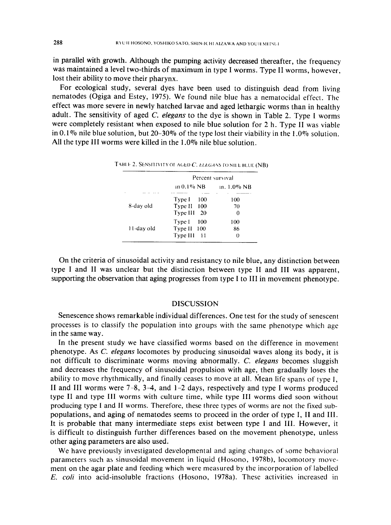in parallel with growth. Although the pumping activity decreased thereafter, the frequency was maintained a level two-thirds of maximum in type I worms. Type II worms, however, lost their ability to move their pharynx.

For ecological study, several dyes have been used to distinguish dead from living nematodes (Ogiga and Estey, 1975). We found nile blue has a nematocidal effect. The effect was more severe in newly hatched larvae and aged lethargic worms than in healthy adult. The sensitivity of aged *C. elegans* to the dye is shown in Table 2. Type I worms were completely resistant when exposed to nile blue solution for 2 h. Type 1I was viable in 0.1% nile blue solution, but 20–30% of the type lost their viability in the 1.0% solution. All the type III worms were killed in the 1.0% nile blue solution.

|            | Percent survival |             |
|------------|------------------|-------------|
|            | 111 0.1% NB      | 1n. 1.0% NB |
| 8-day old  | Type I<br>- 100  | 100         |
|            | Type II 100      | 70          |
|            | Type III<br>20   | 0           |
|            | Type I<br>100    | 100         |
| 11-day old | Type II 100      | 86          |
|            | Type III 11      | 0           |

TABLE 2. SENSITIVITY OF AGED C. *ELEGANS* TO NILE BLUE (NB)

On the criteria of sinusoidal activity and resistancy to nile blue, any distinction between type I and II was unclear but the distinction between type II and III was apparent, supporting the observation that aging progresses from type I to III in movement phenotype.

# **DISCUSSION**

Senescence shows remarkable individual differences. One test for the study of senescent processes is to classify the population into groups with the same phenotype which age in the same way.

In the present study we have classified worms based on the difference in movement phenotype. As *C. elegans* locomotes by producing sinusoidal waves along its body, it is not difficult to discriminate worms moving abnormally. *C. elegans* becomes sluggish and decreases the frequency of sinusoidal propulsion with age, then gradually loses the ability to move rhythmically, and finally ceases to move at all. Mean life spans of type  $I$ . II and III worms were 7-8, 3-4, and 1-2 days, respectively and type I worms produced type II and type III worms with culture time, while type III worms died soon without producing type I and II worms. Therefore, these three types of worms are not the fixed subpopulations, and aging of nematodes seems to proceed in the order of type I, II and III. It is probable that many intermediate steps exist between type I and III. However, it is difficult to distinguish further differences based on the movement phenotype, unless other aging parameters are also used.

We have previously investigated developmental and aging changes of some behavioral parameters such as sinusoidal movement in liquid (Hosono, 1978b), locomotory movement on the agar plate and feeding which were measured by the incorporation of labelled *E. coli* into acid-insoluble fractions (Hosono, 1978a). These activities increased in